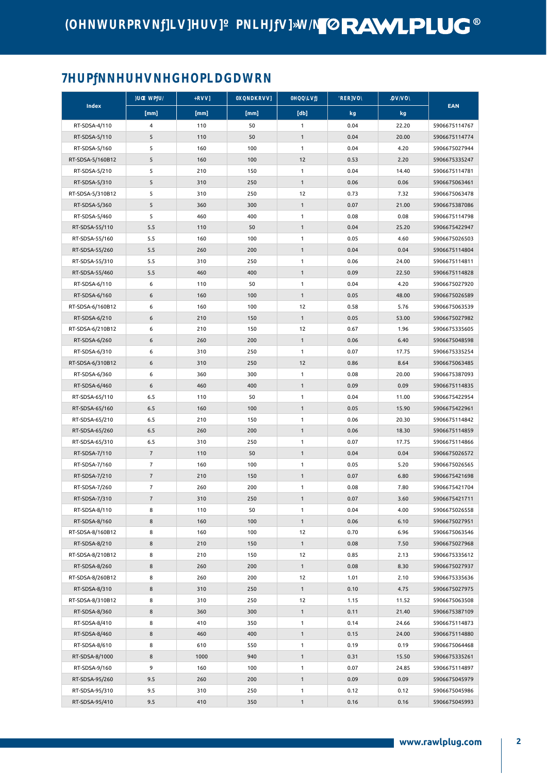## **TORAWLPLUG®**

### PNNNDPLDDWRN

| Index            | <b>WPD</b>     | RĮ         | <b>QNDRI</b> | <b>QQIII</b>      | <b>RERIOL</b> | <b>DDD</b>     | <b>EAN</b>    |
|------------------|----------------|------------|--------------|-------------------|---------------|----------------|---------------|
|                  | [mm]           | [mm]       | [mm]         | [db]              | kg            | kg             |               |
| RT-SDSA-4/110    | 4              | 110        | 50           | 1                 | 0.04          | 22.20          | 5906675114767 |
| RT-SDSA-5/110    | 5              | 110        | 50           | $\mathbf{1}$      | 0.04          | 20.00          | 5906675114774 |
| RT-SDSA-5/160    | 5              | 160        | 100          | $\mathbf{1}$      | 0.04          | 4.20           | 5906675027944 |
| RT-SDSA-5/160B12 | 5              | 160        | 100          | 12                | 0.53          | 2.20           | 5906675335247 |
| RT-SDSA-5/210    | 5              | 210        | 150          | $\mathbf{1}$      | 0.04          | 14.40          | 5906675114781 |
| RT-SDSA-5/310    | 5              | 310        | 250          | $\mathbf{1}$      | 0.06          | 0.06           | 5906675063461 |
| RT-SDSA-5/310B12 | 5              | 310        | 250          | 12                | 0.73          | 7.32           | 5906675063478 |
| RT-SDSA-5/360    | 5              | 360        | 300          | $\mathbf{1}$      | 0.07          | 21.00          | 5906675387086 |
| RT-SDSA-5/460    | 5              | 460        | 400          | 1                 | 0.08          | 0.08           | 5906675114798 |
| RT-SDSA-55/110   | 5.5            | 110        | 50           | 1                 | 0.04          | 25.20          | 5906675422947 |
| RT-SDSA-55/160   | 5.5            | 160        | 100          | 1                 | 0.05          | 4.60           | 5906675026503 |
| RT-SDSA-55/260   | 5.5            | 260        | 200          | $\mathbf{1}$      | 0.04          | 0.04           | 5906675114804 |
| RT-SDSA-55/310   | 5.5            | 310        | 250          | 1                 | 0.06          | 24.00          | 5906675114811 |
| RT-SDSA-55/460   | 5.5            | 460        | 400          | $\mathbf{1}$      | 0.09          | 22.50          | 5906675114828 |
| RT-SDSA-6/110    | 6              | 110        | 50           | $\mathbf{1}$      | 0.04          | 4.20           | 5906675027920 |
| RT-SDSA-6/160    | 6              | 160        | 100          | $\mathbf{1}$      | 0.05          | 48.00          | 5906675026589 |
| RT-SDSA-6/160B12 | 6              | 160        | 100          | 12                | 0.58          | 5.76           | 5906675063539 |
| RT-SDSA-6/210    | 6              | 210        | 150          | $\mathbf{1}$      | 0.05          | 53.00          | 5906675027982 |
| RT-SDSA-6/210B12 | 6              | 210        | 150          | 12                | 0.67          | 1.96           | 5906675335605 |
| RT-SDSA-6/260    | 6              | 260        | 200          | 1                 | 0.06          | 6.40           | 5906675048598 |
| RT-SDSA-6/310    | 6              | 310        | 250          | $\mathbf{1}$      | 0.07          | 17.75          | 5906675335254 |
| RT-SDSA-6/310B12 | 6              | 310        | 250          | 12                | 0.86          | 8.64           | 5906675063485 |
| RT-SDSA-6/360    | 6              | 360        | 300          | 1                 | 0.08          | 20.00          | 5906675387093 |
| RT-SDSA-6/460    | 6              | 460        | 400          | $\mathbf{1}$      | 0.09          | 0.09           | 5906675114835 |
| RT-SDSA-65/110   | 6.5            | 110        | 50           | 1                 | 0.04          | 11.00          | 5906675422954 |
|                  |                |            |              |                   |               |                |               |
| RT-SDSA-65/160   | 6.5<br>6.5     | 160<br>210 | 100<br>150   | $\mathbf{1}$<br>1 | 0.05<br>0.06  | 15.90<br>20.30 | 5906675422961 |
| RT-SDSA-65/210   |                |            |              |                   |               |                | 5906675114842 |
| RT-SDSA-65/260   | 6.5            | 260        | 200          | $\mathbf{1}$      | 0.06          | 18.30          | 5906675114859 |
| RT-SDSA-65/310   | 6.5            | 310        | 250          | 1                 | 0.07          | 17.75          | 5906675114866 |
| RT-SDSA-7/110    | $\overline{7}$ | 110        | 50           | 1                 | 0.04          | 0.04           | 5906675026572 |
| RT-SDSA-7/160    | $\overline{7}$ | 160        | 100          | 1                 | 0.05          | 5.20           | 5906675026565 |
| RT-SDSA-7/210    | $\overline{7}$ | 210        | 150          | 1                 | 0.07          | 6.80           | 5906675421698 |
| RT-SDSA-7/260    | $\overline{7}$ | 260        | 200          | 1                 | 0.08          | 7.80           | 5906675421704 |
| RT-SDSA-7/310    | $\overline{7}$ | 310        | 250          | 1                 | 0.07          | 3.60           | 5906675421711 |
| RT-SDSA-8/110    | 8              | 110        | 50           | 1                 | 0.04          | 4.00           | 5906675026558 |
| RT-SDSA-8/160    | 8              | 160        | 100          | $\mathbf{1}$      | 0.06          | 6.10           | 5906675027951 |
| RT-SDSA-8/160B12 | 8              | 160        | 100          | 12                | 0.70          | 6.96           | 5906675063546 |
| RT-SDSA-8/210    | 8              | 210        | 150          | $\mathbf{1}$      | 0.08          | 7.50           | 5906675027968 |
| RT-SDSA-8/210B12 | 8              | 210        | 150          | 12                | 0.85          | 2.13           | 5906675335612 |
| RT-SDSA-8/260    | 8              | 260        | 200          | $\mathbf{1}$      | 0.08          | 8.30           | 5906675027937 |
| RT-SDSA-8/260B12 | 8              | 260        | 200          | 12                | 1.01          | 2.10           | 5906675335636 |
| RT-SDSA-8/310    | 8              | 310        | 250          | $\mathbf{1}$      | 0.10          | 4.75           | 5906675027975 |
| RT-SDSA-8/310B12 | 8              | 310        | 250          | 12                | 1.15          | 11.52          | 5906675063508 |
| RT-SDSA-8/360    | 8              | 360        | 300          | $\mathbf{1}$      | 0.11          | 21.40          | 5906675387109 |
| RT-SDSA-8/410    | 8              | 410        | 350          | 1                 | 0.14          | 24.66          | 5906675114873 |
| RT-SDSA-8/460    | 8              | 460        | 400          | $\mathbf{1}$      | 0.15          | 24.00          | 5906675114880 |
| RT-SDSA-8/610    | 8              | 610        | 550          | $\mathbf{1}$      | 0.19          | 0.19           | 5906675064468 |
| RT-SDSA-8/1000   | 8              | 1000       | 940          | 1                 | 0.31          | 15.50          | 5906675335261 |
| RT-SDSA-9/160    | 9              | 160        | 100          | 1                 | 0.07          | 24.85          | 5906675114897 |
| RT-SDSA-95/260   | 9.5            | 260        | 200          | $\mathbf{1}$      | 0.09          | 0.09           | 5906675045979 |
| RT-SDSA-95/310   | 9.5            | 310        | 250          | $\mathbf{1}$      | 0.12          | 0.12           | 5906675045986 |
| RT-SDSA-95/410   | 9.5            | 410        | 350          | $\mathbf{1}$      | 0.16          | 0.16           | 5906675045993 |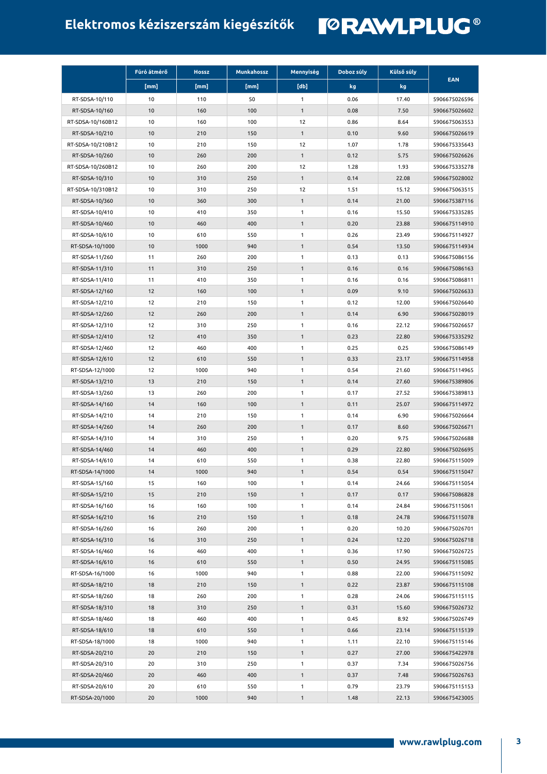# **Elektromos kéziszerszám kiegészítők**

|                   | Fúró átmérő | <b>Hossz</b> | <b>Munkahossz</b> | Mennyiség    | Doboz súly | Külső súly |               |
|-------------------|-------------|--------------|-------------------|--------------|------------|------------|---------------|
|                   | [mm]        | [mm]         | [mm]              | [db]         | kg         | kg         | <b>EAN</b>    |
| RT-SDSA-10/110    | 10          | 110          | 50                | 1            | 0.06       | 17.40      | 5906675026596 |
| RT-SDSA-10/160    | 10          | 160          | 100               | 1            | 0.08       | 7.50       | 5906675026602 |
| RT-SDSA-10/160B12 | 10          | 160          | 100               | 12           | 0.86       | 8.64       | 5906675063553 |
| RT-SDSA-10/210    | 10          | 210          | 150               | $\mathbf{1}$ | 0.10       | 9.60       | 5906675026619 |
| RT-SDSA-10/210B12 | 10          | 210          | 150               | 12           | 1.07       | 1.78       | 5906675335643 |
| RT-SDSA-10/260    | 10          | 260          | 200               | $\mathbf{1}$ | 0.12       | 5.75       | 5906675026626 |
| RT-SDSA-10/260B12 | 10          | 260          | 200               | 12           | 1.28       | 1.93       | 5906675335278 |
| RT-SDSA-10/310    | 10          | 310          | 250               | $\mathbf{1}$ | 0.14       | 22.08      | 5906675028002 |
| RT-SDSA-10/310B12 | 10          | 310          | 250               | 12           | 1.51       | 15.12      | 5906675063515 |
| RT-SDSA-10/360    | 10          | 360          | 300               | $\mathbf{1}$ | 0.14       | 21.00      | 5906675387116 |
| RT-SDSA-10/410    | 10          | 410          | 350               | 1            | 0.16       | 15.50      | 5906675335285 |
| RT-SDSA-10/460    | 10          | 460          | 400               | $\mathbf{1}$ | 0.20       | 23.88      | 5906675114910 |
| RT-SDSA-10/610    | 10          | 610          | 550               | 1            | 0.26       | 23.49      | 5906675114927 |
| RT-SDSA-10/1000   | 10          | 1000         | 940               | $\mathbf{1}$ | 0.54       | 13.50      | 5906675114934 |
| RT-SDSA-11/260    | 11          | 260          | 200               | 1            | 0.13       | 0.13       | 5906675086156 |
| RT-SDSA-11/310    | 11          | 310          | 250               | $\mathbf{1}$ | 0.16       | 0.16       | 5906675086163 |
| RT-SDSA-11/410    | 11          | 410          | 350               | 1            | 0.16       | 0.16       | 5906675086811 |
| RT-SDSA-12/160    | 12          | 160          | 100               | $\mathbf{1}$ | 0.09       | 9.10       | 5906675026633 |
| RT-SDSA-12/210    | 12          | 210          | 150               | 1            | 0.12       | 12.00      | 5906675026640 |
| RT-SDSA-12/260    | 12          | 260          | 200               | $\mathbf{1}$ | 0.14       | 6.90       | 5906675028019 |
| RT-SDSA-12/310    | 12          | 310          | 250               | 1            | 0.16       | 22.12      | 5906675026657 |
| RT-SDSA-12/410    | 12          | 410          | 350               | $\mathbf{1}$ | 0.23       | 22.80      | 5906675335292 |
| RT-SDSA-12/460    | 12          | 460          | 400               | $\mathbf{1}$ | 0.25       | 0.25       | 5906675086149 |
| RT-SDSA-12/610    | 12          | 610          | 550               | 1            | 0.33       | 23.17      | 5906675114958 |
| RT-SDSA-12/1000   | 12          | 1000         | 940               | 1            | 0.54       | 21.60      | 5906675114965 |
| RT-SDSA-13/210    | 13          | 210          | 150               | $\mathbf{1}$ | 0.14       | 27.60      | 5906675389806 |
| RT-SDSA-13/260    | 13          | 260          | 200               | 1            | 0.17       | 27.52      | 5906675389813 |
| RT-SDSA-14/160    | 14          | 160          | 100               | $\mathbf{1}$ | 0.11       | 25.07      | 5906675114972 |
| RT-SDSA-14/210    | 14          | 210          | 150               | 1            | 0.14       | 6.90       | 5906675026664 |
| RT-SDSA-14/260    | 14          | 260          | 200               | $\mathbf{1}$ | 0.17       | 8.60       | 5906675026671 |
| RT-SDSA-14/310    | 14          | 310          | 250               | 1            | 0.20       | 9.75       | 5906675026688 |
| RT-SDSA-14/460    | 14          | 460          | 400               | $\mathbf{1}$ | 0.29       | 22.80      | 5906675026695 |
| RT-SDSA-14/610    | 14          | 610          | 550               | 1            | 0.38       | 22.80      | 5906675115009 |
| RT-SDSA-14/1000   | 14          | 1000         | 940               |              | 0.54       | 0.54       | 5906675115047 |
| RT-SDSA-15/160    | 15          | 160          | 100               | 1            | 0.14       | 24.66      | 5906675115054 |
| RT-SDSA-15/210    | 15          | 210          | 150               | $\mathbf{1}$ | 0.17       | 0.17       | 5906675086828 |
| RT-SDSA-16/160    | 16          | 160          | 100               | 1            | 0.14       | 24.84      | 5906675115061 |
| RT-SDSA-16/210    | 16          | 210          | 150               | $\mathbf{1}$ | 0.18       | 24.78      | 5906675115078 |
| RT-SDSA-16/260    | 16          | 260          | 200               | 1            | 0.20       | 10.20      | 5906675026701 |
| RT-SDSA-16/310    | 16          | 310          | 250               | $\mathbf{1}$ | 0.24       | 12.20      | 5906675026718 |
| RT-SDSA-16/460    | 16          | 460          | 400               | 1            | 0.36       | 17.90      | 5906675026725 |
| RT-SDSA-16/610    | 16          | 610          | 550               | $\mathbf{1}$ | 0.50       | 24.95      | 5906675115085 |
| RT-SDSA-16/1000   | 16          | 1000         | 940               | $\mathbf{1}$ | 0.88       | 22.00      | 5906675115092 |
| RT-SDSA-18/210    |             | 210          |                   |              | 0.22       | 23.87      |               |
|                   | 18          |              | 150               | 1            |            |            | 5906675115108 |
| RT-SDSA-18/260    | 18          | 260          | 200               | 1            | 0.28       | 24.06      | 5906675115115 |
| RT-SDSA-18/310    | 18          | 310          | 250               | 1            | 0.31       | 15.60      | 5906675026732 |
| RT-SDSA-18/460    | 18          | 460          | 400               | 1            | 0.45       | 8.92       | 5906675026749 |
| RT-SDSA-18/610    | 18          | 610          | 550               | $\mathbf{1}$ | 0.66       | 23.14      | 5906675115139 |
| RT-SDSA-18/1000   | 18          | 1000         | 940               | $\mathbf{1}$ | 1.11       | 22.10      | 5906675115146 |
| RT-SDSA-20/210    | 20          | 210          | 150               | $\mathbf{1}$ | 0.27       | 27.00      | 5906675422978 |
| RT-SDSA-20/310    | 20          | 310          | 250               | 1            | 0.37       | 7.34       | 5906675026756 |
| RT-SDSA-20/460    | 20          | 460          | 400               | $\mathbf{1}$ | 0.37       | 7.48       | 5906675026763 |
| RT-SDSA-20/610    | 20          | 610          | 550               | $\mathbf{1}$ | 0.79       | 23.79      | 5906675115153 |
| RT-SDSA-20/1000   | 20          | 1000         | 940               | $\mathbf{1}$ | 1.48       | 22.13      | 5906675423005 |